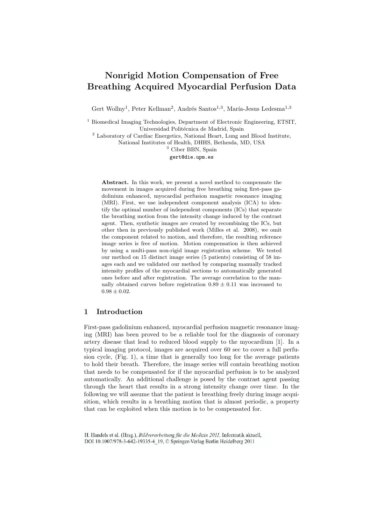# **Nonrigid Motion Compensation of Free Breathing Acquired Myocardial Perfusion Data**

Gert Wollny<sup>1</sup>, Peter Kellman<sup>2</sup>, Andrés Santos<sup>1,3</sup>, María-Jesus Ledesma<sup>1,3</sup>

<sup>1</sup> Biomedical Imaging Technologies, Department of Electronic Engineering, ETSIT, Universidad Politécnica de Madrid, Spain

<sup>2</sup> Laboratory of Cardiac Energetics, National Heart, Lung and Blood Institute,

National Institutes of Health, DHHS, Bethesda, MD, USA

<sup>3</sup> Ciber BBN, Spain

gert@die.upm.es

**Abstract.** In this work, we present a novel method to compensate the movement in images acquired during free breathing using first-pass gadolinium enhanced, myocardial perfusion magnetic resonance imaging (MRI). First, we use independent component analysis (ICA) to identify the optimal number of independent components (ICs) that separate the breathing motion from the intensity change induced by the contrast agent. Then, synthetic images are created by recombining the ICs, but other then in previously published work (Milles et al. 2008), we omit the component related to motion, and therefore, the resulting reference image series is free of motion. Motion compensation is then achieved by using a multi-pass non-rigid image registration scheme. We tested our method on 15 distinct image series (5 patients) consisting of 58 images each and we validated our method by comparing manually tracked intensity profiles of the myocardial sections to automatically generated ones before and after registration. The average correlation to the manually obtained curves before registration  $0.89 \pm 0.11$  was increased to  $0.98 \pm 0.02$ .

# **1 Introduction**

First-pass gadolinium enhanced, myocardial perfusion magnetic resonance imaging (MRI) has been proved to be a reliable tool for the diagnosis of coronary artery disease that lead to reduced blood supply to the myocardium [1]. In a typical imaging protocol, images are acquired over 60 sec to cover a full perfusion cycle, (Fig. 1), a time that is generally too long for the average patients to hold their breath. Therefore, the image series will contain breathing motion that needs to be compensated for if the myocardial perfusion is to be analyzed automatically. An additional challenge is posed by the contrast agent passing through the heart that results in a strong intensity change over time. In the following we will assume that the patient is breathing freely during image acquisition, which results in a breathing motion that is almost periodic, a property that can be exploited when this motion is to be compensated for.

H. Handels et al. (Hrsg.), Bildverarbeitung für die Medizin 2011, Informatik aktuell, DOI 10.1007/978-3-642-19335-4 19, © Springer-Verlag Berlin Heidelberg 2011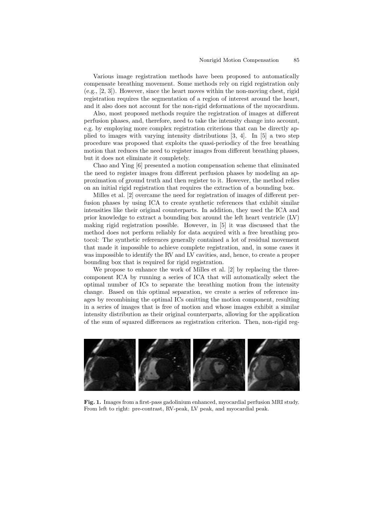Various image registration methods have been proposed to automatically compensate breathing movement. Some methods rely on rigid registration only (e.g., [2, 3]). However, since the heart moves within the non-moving chest, rigid registration requires the segmentation of a region of interest around the heart, and it also does not account for the non-rigid deformations of the myocardium.

Also, most proposed methods require the registration of images at different perfusion phases, and, therefore, need to take the intensity change into account, e.g. by employing more complex registration criterions that can be directly applied to images with varying intensity distributions [3, 4]. In [5] a two step procedure was proposed that exploits the quasi-periodicy of the free breathing motion that reduces the need to register images from different breathing phases, but it does not eliminate it completely.

Chao and Ying [6] presented a motion compensation scheme that eliminated the need to register images from different perfusion phases by modeling an approximation of ground truth and then register to it. However, the method relies on an initial rigid registration that requires the extraction of a bounding box.

Milles et al. [2] overcame the need for registration of images of different perfusion phases by using ICA to create synthetic references that exhibit similar intensities like their original counterparts. In addition, they used the ICA and prior knowledge to extract a bounding box around the left heart ventricle (LV) making rigid registration possible. However, in [5] it was discussed that the method does not perform reliably for data acquired with a free breathing protocol: The synthetic references generally contained a lot of residual movement that made it impossible to achieve complete registration, and, in some cases it was impossible to identify the RV and LV cavities, and, hence, to create a proper bounding box that is required for rigid registration.

We propose to enhance the work of Milles et al. [2] by replacing the threecomponent ICA by running a series of ICA that will automatically select the optimal number of ICs to separate the breathing motion from the intensity change. Based on this optimal separation, we create a series of reference images by recombining the optimal ICs omitting the motion component, resulting in a series of images that is free of motion and whose images exhibit a similar intensity distribution as their original counterparts, allowing for the application of the sum of squared differences as registration criterion. Then, non-rigid reg-



**Fig. 1.** Images from a first-pass gadolinium enhanced, myocardial perfusion MRI study. From left to right: pre-contrast, RV-peak, LV peak, and myocardial peak.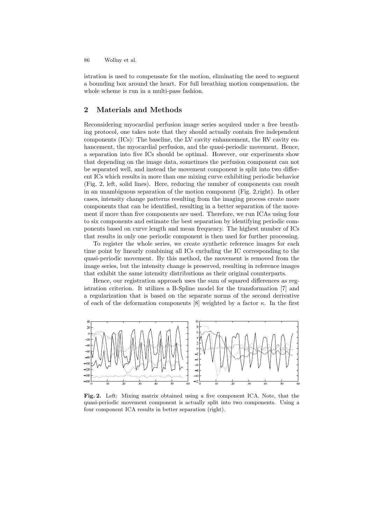86 Wollny et al.

istration is used to compensate for the motion, eliminating the need to segment a bounding box around the heart. For full breathing motion compensation, the whole scheme is run in a multi-pass fashion.

## **2 Materials and Methods**

Reconsidering myocardial perfusion image series acquired under a free breathing protocol, one takes note that they should actually contain five independent components (ICs): The baseline, the LV cavity enhancement, the RV cavity enhancement, the myocardial perfusion, and the quasi-periodic movement. Hence, a separation into five ICs should be optimal. However, our experiments show that depending on the image data, sometimes the perfusion component can not be separated well, and instead the movement component is split into two different ICs which results in more than one mixing curve exhibiting periodic behavior (Fig. 2, left, solid lines). Here, reducing the number of components can result in an unambiguous separation of the motion component (Fig. 2,right). In other cases, intensity change patterns resulting from the imaging process create more components that can be identified, resulting in a better separation of the movement if more than five components are used. Therefore, we run ICAs using four to six components and estimate the best separation by identifying periodic components based on curve length and mean frequency. The highest number of ICs that results in only one periodic component is then used for further processing.

To register the whole series, we create synthetic reference images for each time point by linearly combining all ICs excluding the IC corresponding to the quasi-periodic movement. By this method, the movement is removed from the image series, but the intensity change is preserved, resulting in reference images that exhibit the same intensity distributions as their original counterparts.

Hence, our registration approach uses the sum of squared differences as registration criterion. It utilizes a B-Spline model for the transformation [7] and a regularization that is based on the separate norms of the second derivative of each of the deformation components  $[8]$  weighted by a factor  $\kappa$ . In the first



**Fig. 2.** Left: Mixing matrix obtained using a five component ICA. Note, that the quasi-periodic movement component is actually split into two components. Using a four component ICA results in better separation (right).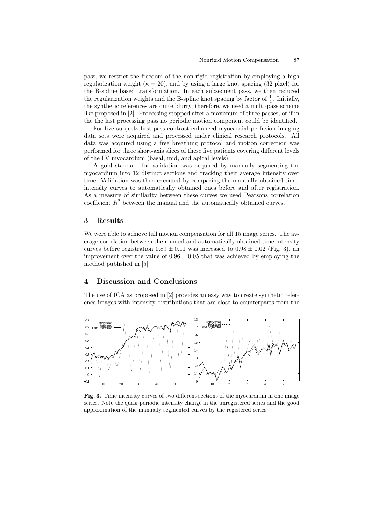pass, we restrict the freedom of the non-rigid registration by employing a high regularization weight  $(\kappa = 20)$ , and by using a large knot spacing (32 pixel) for the B-spline based transformation. In each subsequent pass, we then reduced the regularization weights and the B-spline knot spacing by factor of  $\frac{1}{4}$ . Initially, the synthetic references are quite blurry, therefore, we used a multi-pass scheme like proposed in [2]. Processing stopped after a maximum of three passes, or if in the the last processing pass no periodic motion component could be identified.

For five subjects first-pass contrast-enhanced myocardial perfusion imaging data sets were acquired and processed under clinical research protocols. All data was acquired using a free breathing protocol and motion correction was performed for three short-axis slices of these five patients covering different levels of the LV myocardium (basal, mid, and apical levels).

A gold standard for validation was acquired by manually segmenting the myocardium into 12 distinct sections and tracking their average intensity over time. Validation was then executed by comparing the manually obtained timeintensity curves to automatically obtained ones before and after registration. As a measure of similarity between these curves we used Pearsons correlation coefficient  $R^2$  between the manual and the automatically obtained curves.

# **3 Results**

We were able to achieve full motion compensation for all 15 image series. The average correlation between the manual and automatically obtained time-intensity curves before registration  $0.89 \pm 0.11$  was increased to  $0.98 \pm 0.02$  (Fig. 3), an improvement over the value of  $0.96 \pm 0.05$  that was achieved by employing the method published in [5].

# **4 Discussion and Conclusions**

The use of ICA as proposed in [2] provides an easy way to create synthetic reference images with intensity distributions that are close to counterparts from the



**Fig. 3.** Time intensity curves of two different sections of the myocardium in one image series. Note the quasi-periodic intensity change in the unregistered series and the good approximation of the manually segmented curves by the registered series.